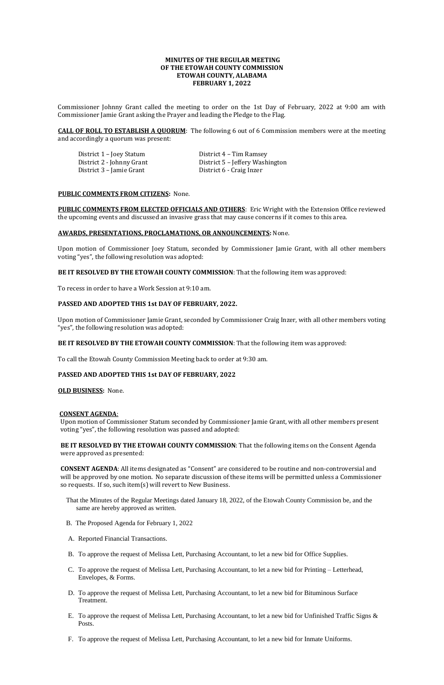# **MINUTES OF THE REGULAR MEETING OF THE ETOWAH COUNTY COMMISSION ETOWAH COUNTY, ALABAMA FEBRUARY 1, 2022**

Commissioner Johnny Grant called the meeting to order on the 1st Day of February, 2022 at 9:00 am with Commissioner Jamie Grant asking the Prayer and leading the Pledge to the Flag.

District 1 – Joey Statum District 4 – Tim Ramsey District 3 – Jamie Grant District 6 - Craig Inzer

District 2 - Johnny Grant District 5 – Jeffery Washington

**CALL OF ROLL TO ESTABLISH A QUORUM**: The following 6 out of 6 Commission members were at the meeting and accordingly a quorum was present:

#### **PUBLIC COMMENTS FROM CITIZENS:** None.

**PUBLIC COMMENTS FROM ELECTED OFFICIALS AND OTHERS**: Eric Wright with the Extension Office reviewed the upcoming events and discussed an invasive grass that may cause concerns if it comes to this area.

## **AWARDS, PRESENTATIONS, PROCLAMATIONS, OR ANNOUNCEMENTS:** None.

Upon motion of Commissioner Joey Statum, seconded by Commissioner Jamie Grant, with all other members voting "yes", the following resolution was adopted:

# **BE IT RESOLVED BY THE ETOWAH COUNTY COMMISSION**: That the following item was approved:

To recess in order to have a Work Session at 9:10 am.

# **PASSED AND ADOPTED THIS 1st DAY OF FEBRUARY, 2022.**

Upon motion of Commissioner Jamie Grant, seconded by Commissioner Craig Inzer, with all other members voting "yes", the following resolution was adopted:

# **BE IT RESOLVED BY THE ETOWAH COUNTY COMMISSION**: That the following item was approved:

To call the Etowah County Commission Meeting back to order at 9:30 am.

# **PASSED AND ADOPTED THIS 1st DAY OF FEBRUARY, 2022**

**OLD BUSINESS:** None.

## **CONSENT AGENDA**:

Upon motion of Commissioner Statum seconded by Commissioner Jamie Grant, with all other members present voting "yes", the following resolution was passed and adopted:

**BE IT RESOLVED BY THE ETOWAH COUNTY COMMISSION**: That the following items on the Consent Agenda were approved as presented:

**CONSENT AGENDA**: All items designated as "Consent" are considered to be routine and non-controversial and will be approved by one motion. No separate discussion of these items will be permitted unless a Commissioner so requests. If so, such item(s) will revert to New Business.

That the Minutes of the Regular Meetings dated January 18, 2022, of the Etowah County Commission be, and the

- same are hereby approved as written.
- B. The Proposed Agenda for February 1, 2022
- A. Reported Financial Transactions.
- B. To approve the request of Melissa Lett, Purchasing Accountant, to let a new bid for Office Supplies.
- C. To approve the request of Melissa Lett, Purchasing Accountant, to let a new bid for Printing Letterhead, Envelopes, & Forms.
- D. To approve the request of Melissa Lett, Purchasing Accountant, to let a new bid for Bituminous Surface Treatment.
- E. To approve the request of Melissa Lett, Purchasing Accountant, to let a new bid for Unfinished Traffic Signs  $\&$ Posts.
- F. To approve the request of Melissa Lett, Purchasing Accountant, to let a new bid for Inmate Uniforms.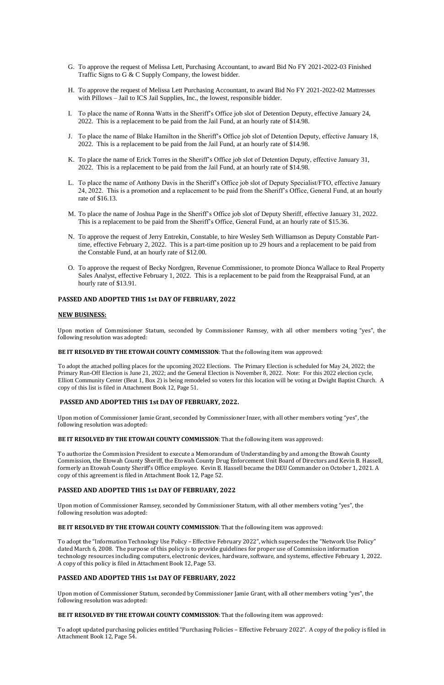- G. To approve the request of Melissa Lett, Purchasing Accountant, to award Bid No FY 2021-2022-03 Finished Traffic Signs to G & C Supply Company, the lowest bidder.
- H. To approve the request of Melissa Lett Purchasing Accountant, to award Bid No FY 2021-2022-02 Mattresses with Pillows – Jail to ICS Jail Supplies, Inc., the lowest, responsible bidder.
- I. To place the name of Ronna Watts in the Sheriff's Office job slot of Detention Deputy, effective January 24, 2022. This is a replacement to be paid from the Jail Fund, at an hourly rate of \$14.98.
- J. To place the name of Blake Hamilton in the Sheriff's Office job slot of Detention Deputy, effective January 18, 2022. This is a replacement to be paid from the Jail Fund, at an hourly rate of \$14.98.
- K. To place the name of Erick Torres in the Sheriff's Office job slot of Detention Deputy, effective January 31, 2022. This is a replacement to be paid from the Jail Fund, at an hourly rate of \$14.98.
- L. To place the name of Anthony Davis in the Sheriff's Office job slot of Deputy Specialist/FTO, effective January 24, 2022. This is a promotion and a replacement to be paid from the Sheriff's Office, General Fund, at an hourly rate of \$16.13.
- M. To place the name of Joshua Page in the Sheriff's Office job slot of Deputy Sheriff, effective January 31, 2022. This is a replacement to be paid from the Sheriff's Office, General Fund, at an hourly rate of \$15.36.
- N. To approve the request of Jerry Entrekin, Constable, to hire Wesley Seth Williamson as Deputy Constable Parttime, effective February 2, 2022. This is a part-time position up to 29 hours and a replacement to be paid from the Constable Fund, at an hourly rate of \$12.00.
- O. To approve the request of Becky Nordgren, Revenue Commissioner, to promote Dionca Wallace to Real Property Sales Analyst, effective February 1, 2022. This is a replacement to be paid from the Reappraisal Fund, at an hourly rate of \$13.91.

#### **PASSED AND ADOPTED THIS 1st DAY OF FEBRUARY, 2022**

#### **NEW BUSINESS:**

Upon motion of Commissioner Statum, seconded by Commissioner Ramsey, with all other members voting "yes", the following resolution was adopted:

**BE IT RESOLVED BY THE ETOWAH COUNTY COMMISSION**: That the following item was approved:

To adopt the attached polling places for the upcoming 2022 Elections. The Primary Election is scheduled for May 24, 2022; the Primary Run-Off Election is June 21, 2022; and the General Election is November 8, 2022. Note: For this 2022 election cycle, Elliott Community Center (Beat 1, Box 2) is being remodeled so voters for this location will be voting at Dwight Baptist Church. A copy of this list is filed in Attachment Book 12, Page 51.

#### **PASSED AND ADOPTED THIS 1st DAY OF FEBRUARY, 2022.**

Upon motion of Commissioner Jamie Grant, seconded by Commissioner Inzer, with all other members voting "yes", the following resolution was adopted:

#### **BE IT RESOLVED BY THE ETOWAH COUNTY COMMISSION**: That the following item was approved:

To authorize the Commission President to execute a Memorandum of Understanding by and among the Etowah County Commission, the Etowah County Sheriff, the Etowah County Drug Enforcement Unit Board of Directors and Kevin B. Hassell, formerly an Etowah County Sheriff's Office employee. Kevin B. Hassell became the DEU Commander on October 1, 2021. A copy of this agreement is filed in Attachment Book 12, Page 52.

# **PASSED AND ADOPTED THIS 1st DAY OF FEBRUARY, 2022**

Upon motion of Commissioner Ramsey, seconded by Commissioner Statum, with all other members voting "yes", the following resolution was adopted:

### **BE IT RESOLVED BY THE ETOWAH COUNTY COMMISSION**: That the following item was approved:

To adopt the "Information Technology Use Policy – Effective February 2022", which supersedes the "Network Use Policy" dated March 6, 2008. The purpose of this policy is to provide guidelines for proper use of Commission information technology resources including computers, electronic devices, hardware, software, and systems, effective February 1, 2022. A copy of this policy is filed in Attachment Book 12, Page 53.

# **PASSED AND ADOPTED THIS 1st DAY OF FEBRUARY, 2022**

Upon motion of Commissioner Statum, seconded by Commissioner Jamie Grant, with all other members voting "yes", the following resolution was adopted:

# **BE IT RESOLVED BY THE ETOWAH COUNTY COMMISSION**: That the following item was approved:

To adopt updated purchasing policies entitled "Purchasing Policies – Effective February 2022". A copy of the policy is filed in Attachment Book 12, Page 54.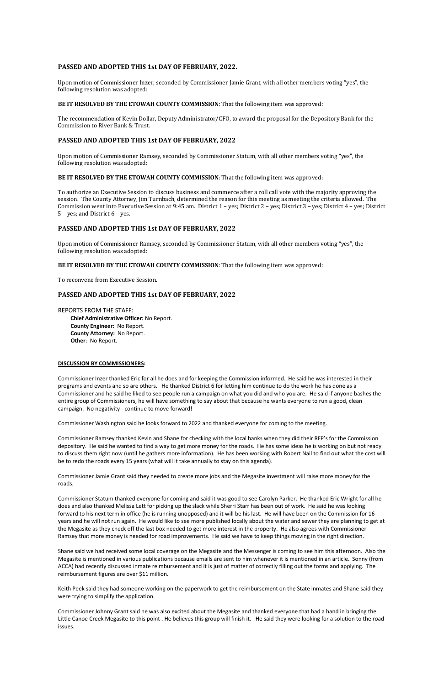## **PASSED AND ADOPTED THIS 1st DAY OF FEBRUARY, 2022.**

Upon motion of Commissioner Inzer, seconded by Commissioner Jamie Grant, with all other members voting "yes", the following resolution was adopted:

### **BE IT RESOLVED BY THE ETOWAH COUNTY COMMISSION**: That the following item was approved:

The recommendation of Kevin Dollar, Deputy Administrator/CFO, to award the proposal for the Depository Bank for the Commission to River Bank & Trust.

# **PASSED AND ADOPTED THIS 1st DAY OF FEBRUARY, 2022**

Upon motion of Commissioner Ramsey, seconded by Commissioner Statum, with all other members voting "yes", the following resolution was adopted:

#### **BE IT RESOLVED BY THE ETOWAH COUNTY COMMISSION**: That the following item was approved:

To authorize an Executive Session to discuss business and commerce after a roll call vote with the majority approving the session. The County Attorney, Jim Turnbach, determined the reason for this meeting as meeting the criteria allowed. The Commission went into Executive Session at 9:45 am. District 1 – yes; District 2 – yes; District 3 – yes; District 4 – yes; District 5 – yes; and District 6 – yes.

# **PASSED AND ADOPTED THIS 1st DAY OF FEBRUARY, 2022**

Upon motion of Commissioner Ramsey, seconded by Commissioner Statum, with all other members voting "yes", the following resolution was adopted:

#### **BE IT RESOLVED BY THE ETOWAH COUNTY COMMISSION**: That the following item was approved:

To reconvene from Executive Session.

# **PASSED AND ADOPTED THIS 1st DAY OF FEBRUARY, 2022**

#### REPORTS FROM THE STAFF:

 **Chief Administrative Officer:** No Report. **County Engineer:** No Report. **County Attorney:** No Report. **Other**: No Report.

#### **DISCUSSION BY COMMISSIONERS:**

Commissioner Inzer thanked Eric for all he does and for keeping the Commission informed. He said he was interested in their programs and events and so are others. He thanked District 6 for letting him continue to do the work he has done as a Commissioner and he said he liked to see people run a campaign on what you did and who you are. He said if anyone bashes the entire group of Commissioners, he will have something to say about that because he wants everyone to run a good, clean campaign. No negativity - continue to move forward!

Commissioner Washington said he looks forward to 2022 and thanked everyone for coming to the meeting.

Commissioner Ramsey thanked Kevin and Shane for checking with the local banks when they did their RFP's for the Commission depository. He said he wanted to find a way to get more money for the roads. He has some ideas he is working on but not ready to discuss them right now (until he gathers more information). He has been working with Robert Nail to find out what the cost will be to redo the roads every 15 years (what will it take annually to stay on this agenda).

Commissioner Jamie Grant said they needed to create more jobs and the Megasite investment will raise more money for the roads.

Commissioner Statum thanked everyone for coming and said it was good to see Carolyn Parker. He thanked Eric Wright for all he

does and also thanked Melissa Lett for picking up the slack while Sherri Starr has been out of work. He said he was looking forward to his next term in office (he is running unopposed) and it will be his last. He will have been on the Commission for 16 years and he will not run again. He would like to see more published locally about the water and sewer they are planning to get at the Megasite as they check off the last box needed to get more interest in the property. He also agrees with Commissioner Ramsey that more money is needed for road improvements. He said we have to keep things moving in the right direction.

Shane said we had received some local coverage on the Megasite and the Messenger is coming to see him this afternoon. Also the Megasite is mentioned in various publications because emails are sent to him whenever it is mentioned in an article. Sonny (from ACCA) had recently discussed inmate reimbursement and it is just of matter of correctly filling out the forms and applying. The reimbursement figures are over \$11 million.

Keith Peek said they had someone working on the paperwork to get the reimbursement on the State inmates and Shane said they were trying to simplify the application.

Commissioner Johnny Grant said he was also excited about the Megasite and thanked everyone that had a hand in bringing the Little Canoe Creek Megasite to this point . He believes this group will finish it. He said they were looking for a solution to the road issues.